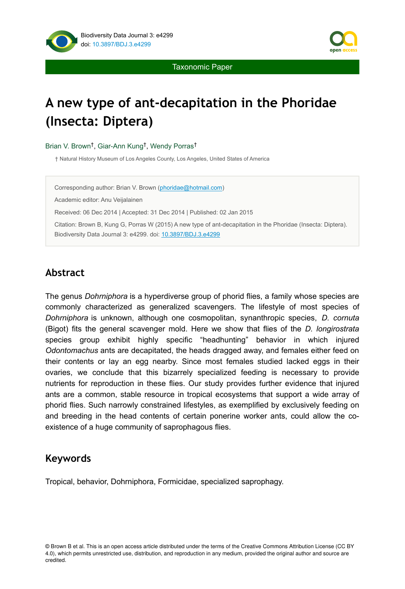



Taxonomic Paper

# **A new type of ant-decapitation in the Phoridae (Insecta: Diptera)**

#### Brian V. Brown<sup>t</sup>, Giar-Ann Kung<sup>t</sup>, Wendy Porras<sup>t</sup>

† Natural History Museum of Los Angeles County, Los Angeles, United States of America

Corresponding author: Brian V. Brown ([phoridae@hotmail.com\)](mailto:phoridae@hotmail.com?subject=Your%20manuscript%20in%20PWT%20#3826/BDJ%20#4299)

Academic editor: Anu Veijalainen

Received: 06 Dec 2014 | Accepted: 31 Dec 2014 | Published: 02 Jan 2015

Citation: Brown B, Kung G, Porras W (2015) A new type of ant-decapitation in the Phoridae (Insecta: Diptera). Biodiversity Data Journal 3: e4299. doi: [10.3897/BDJ.3.e4299](http://dx.doi.org/10.3897/BDJ.3.e4299)

## **Abstract**

The genus *Dohrniphora* is a hyperdiverse group of phorid flies, a family whose species are commonly characterized as generalized scavengers. The lifestyle of most species of *Dohrniphora* is unknown, although one cosmopolitan, synanthropic species, *D. cornuta* (Bigot) fits the general scavenger mold. Here we show that flies of the *D. longirostrata* species group exhibit highly specific "headhunting" behavior in which injured *Odontomachus* ants are decapitated, the heads dragged away, and females either feed on their contents or lay an egg nearby. Since most females studied lacked eggs in their ovaries, we conclude that this bizarrely specialized feeding is necessary to provide nutrients for reproduction in these flies. Our study provides further evidence that injured ants are a common, stable resource in tropical ecosystems that support a wide array of phorid flies. Such narrowly constrained lifestyles, as exemplified by exclusively feeding on and breeding in the head contents of certain ponerine worker ants, could allow the coexistence of a huge community of saprophagous flies.

## **Keywords**

Tropical, behavior, Dohrniphora, Formicidae, specialized saprophagy.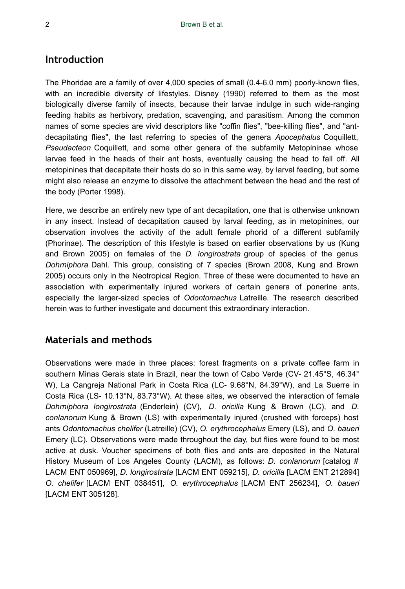## **Introduction**

The Phoridae are a family of over 4,000 species of small (0.4-6.0 mm) poorly-known flies, with an incredible diversity of lifestyles. Disney (1990) referred to them as the most biologically diverse family of insects, because their larvae indulge in such wide-ranging feeding habits as herbivory, predation, scavenging, and parasitism. Among the common names of some species are vivid descriptors like "coffin flies", "bee-killing flies", and "antdecapitating flies", the last referring to species of the genera *Apocephalus* Coquillett, *Pseudacteon* Coquillett, and some other genera of the subfamily Metopininae whose larvae feed in the heads of their ant hosts, eventually causing the head to fall off. All metopinines that decapitate their hosts do so in this same way, by larval feeding, but some might also release an enzyme to dissolve the attachment between the head and the rest of the body (Porter 1998).

Here, we describe an entirely new type of ant decapitation, one that is otherwise unknown in any insect. Instead of decapitation caused by larval feeding, as in metopinines, our observation involves the activity of the adult female phorid of a different subfamily (Phorinae). The description of this lifestyle is based on earlier observations by us (Kung and Brown 2005) on females of the *D. longirostrata* group of species of the genus *Dohrniphora* Dahl. This group, consisting of 7 species (Brown 2008, Kung and Brown 2005) occurs only in the Neotropical Region. Three of these were documented to have an association with experimentally injured workers of certain genera of ponerine ants, especially the larger-sized species of *Odontomachus* Latreille. The research described herein was to further investigate and document this extraordinary interaction.

## **Materials and methods**

Observations were made in three places: forest fragments on a private coffee farm in southern Minas Gerais state in Brazil, near the town of Cabo Verde (CV- 21.45°S, 46.34° W), La Cangreja National Park in Costa Rica (LC- 9.68°N, 84.39°W), and La Suerre in Costa Rica (LS- 10.13°N, 83.73°W). At these sites, we observed the interaction of female *Dohrniphora longirostrata* (Enderlein) (CV), *D. oricilla* Kung & Brown (LC), and *D. conlanorum* Kung & Brown (LS) with experimentally injured (crushed with forceps) host ants *Odontomachus chelifer* (Latreille) (CV), *O. erythrocephalus* Emery (LS), and *O. baueri* Emery (LC). Observations were made throughout the day, but flies were found to be most active at dusk. Voucher specimens of both flies and ants are deposited in the Natural History Museum of Los Angeles County (LACM), as follows: *D. conlanorum* [catalog # LACM ENT 050969], *D. longirostrata* [LACM ENT 059215], *D. oricilla* [LACM ENT 212894] *O. chelifer* [LACM ENT 038451], *O. erythrocephalus* [LACM ENT 256234], *O. baueri* [LACM ENT 305128].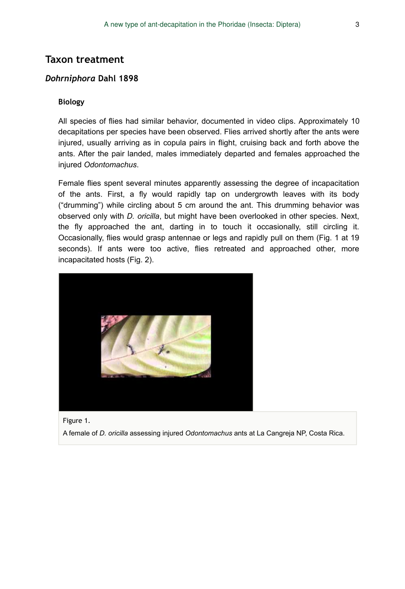## **Taxon treatment**

#### *Dohrniphora* **Dahl 1898**

#### **Biology**

All species of flies had similar behavior, documented in video clips. Approximately 10 decapitations per species have been observed. Flies arrived shortly after the ants were injured, usually arriving as in copula pairs in flight, cruising back and forth above the ants. After the pair landed, males immediately departed and females approached the injured *Odontomachus*.

Female flies spent several minutes apparently assessing the degree of incapacitation of the ants. First, a fly would rapidly tap on undergrowth leaves with its body ("drumming") while circling about 5 cm around the ant. This drumming behavior was observed only with *D. oricilla*, but might have been overlooked in other species. Next, the fly approached the ant, darting in to touch it occasionally, still circling it. Occasionally, flies would grasp antennae or legs and rapidly pull on them (Fig. 1 at 19 seconds). If ants were too active, flies retreated and approached other, more incapacitated hosts (Fig. 2).



[Figure 1.](https://www.youtube.com/watch?v=ad7Qq6dQzds) 

A female of *D. oricilla* assessing injured *Odontomachus* ants at La Cangreja NP, Costa Rica.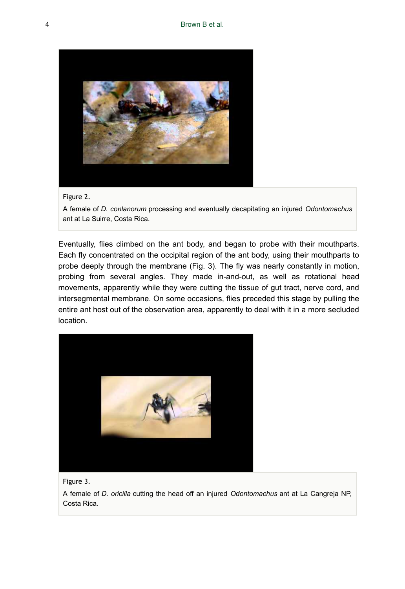



A female of *D. conlanorum* processing and eventually decapitating an injured *Odontomachus* ant at La Suirre, Costa Rica.

Eventually, flies climbed on the ant body, and began to probe with their mouthparts. Each fly concentrated on the occipital region of the ant body, using their mouthparts to probe deeply through the membrane (Fig. 3). The fly was nearly constantly in motion, probing from several angles. They made in-and-out, as well as rotational head movements, apparently while they were cutting the tissue of gut tract, nerve cord, and intersegmental membrane. On some occasions, flies preceded this stage by pulling the entire ant host out of the observation area, apparently to deal with it in a more secluded location.



[Figure 3.](https://www.youtube.com/watch?v=tZNtZSlGEPc) 

A female of *D. oricilla* cutting the head off an injured *Odontomachus* ant at La Cangreja NP, Costa Rica.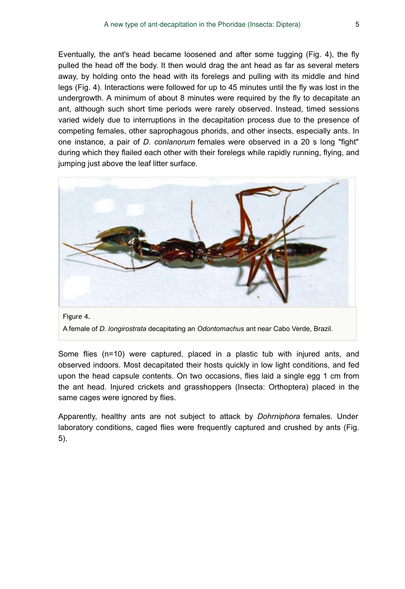Eventually, the ant's head became loosened and after some tugging (Fig. 4), the fly pulled the head off the body. It then would drag the ant head as far as several meters away, by holding onto the head with its forelegs and pulling with its middle and hind legs (Fig. 4). Interactions were followed for up to 45 minutes until the fly was lost in the undergrowth. A minimum of about 8 minutes were required by the fly to decapitate an ant, although such short time periods were rarely observed. Instead, timed sessions varied widely due to interruptions in the decapitation process due to the presence of competing females, other saprophagous phorids, and other insects, especially ants. In one instance, a pair of *D. conlanorum* females were observed in a 20 s long "fight" during which they flailed each other with their forelegs while rapidly running, flying, and jumping just above the leaf litter surface.



A female of *D. longirostrata* decapitating an *Odontomachus* ant near Cabo Verde, Brazil.

Some flies (n=10) were captured, placed in a plastic tub with injured ants, and observed indoors. Most decapitated their hosts quickly in low light conditions, and fed upon the head capsule contents. On two occasions, flies laid a single egg 1 cm from the ant head. Injured crickets and grasshoppers (Insecta: Orthoptera) placed in the same cages were ignored by flies.

Apparently, healthy ants are not subject to attack by *Dohrniphora* females. Under laboratory conditions, caged flies were frequently captured and crushed by ants (Fig. 5).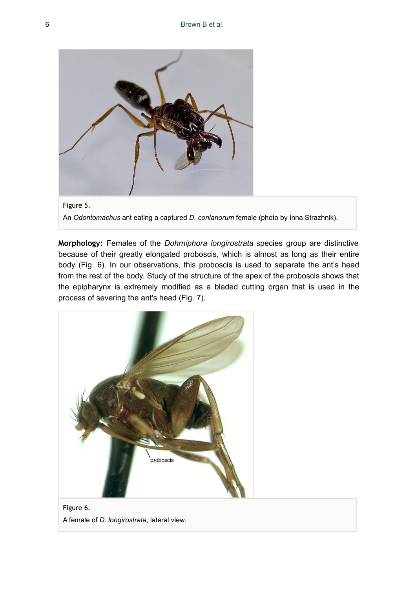

Figure 5. An *Odontomachus* ant eating a captured *D. conlanorum* female (photo by Inna Strazhnik).

**Morphology:** Females of the *Dohrniphora longirostrata* species group are distinctive because of their greatly elongated proboscis, which is almost as long as their entire body (Fig. 6). In our observations, this proboscis is used to separate the ant's head from the rest of the body. Study of the structure of the apex of the proboscis shows that the epipharynx is extremely modified as a bladed cutting organ that is used in the process of severing the ant's head (Fig. 7).



Figure 6. A female of *D. longirostrata*, lateral view.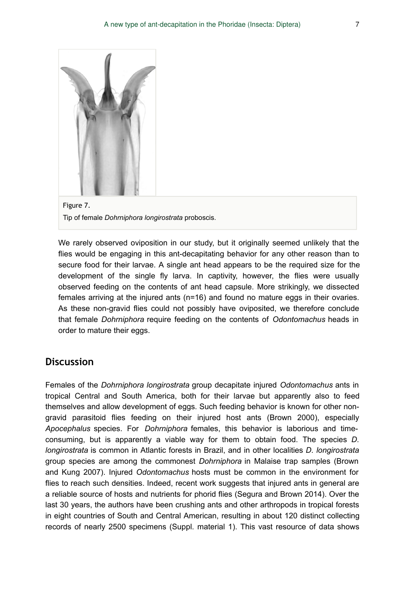



We rarely observed oviposition in our study, but it originally seemed unlikely that the flies would be engaging in this ant-decapitating behavior for any other reason than to secure food for their larvae. A single ant head appears to be the required size for the development of the single fly larva. In captivity, however, the flies were usually observed feeding on the contents of ant head capsule. More strikingly, we dissected females arriving at the injured ants (n=16) and found no mature eggs in their ovaries. As these non-gravid flies could not possibly have oviposited, we therefore conclude that female *Dohrniphora* require feeding on the contents of *Odontomachus* heads in order to mature their eggs.

## **Discussion**

Females of the *Dohrniphora longirostrata* group decapitate injured *Odontomachus* ants in tropical Central and South America, both for their larvae but apparently also to feed themselves and allow development of eggs. Such feeding behavior is known for other nongravid parasitoid flies feeding on their injured host ants (Brown 2000), especially *Apocephalus* species. For *Dohrniphora* females, this behavior is laborious and timeconsuming, but is apparently a viable way for them to obtain food. The species *D. longirostrata* is common in Atlantic forests in Brazil, and in other localities *D. longirostrata* group species are among the commonest *Dohrniphora* in Malaise trap samples (Brown and Kung 2007). Injured *Odontomachus* hosts must be common in the environment for flies to reach such densities. Indeed, recent work suggests that injured ants in general are a reliable source of hosts and nutrients for phorid flies (Segura and Brown 2014). Over the last 30 years, the authors have been crushing ants and other arthropods in tropical forests in eight countries of South and Central American, resulting in about 120 distinct collecting records of nearly 2500 specimens (Suppl. material 1). This vast resource of data shows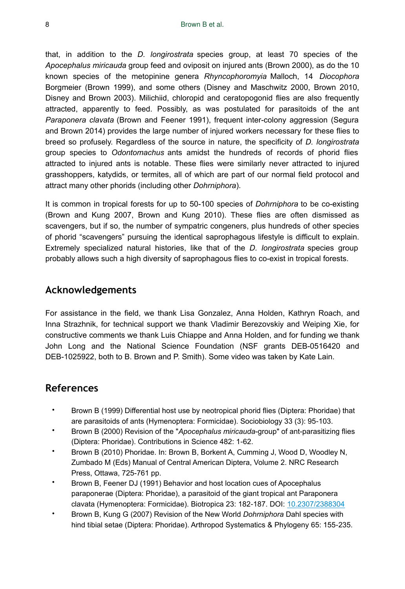that, in addition to the *D. longirostrata* species group, at least 70 species of the *Apocephalus miricauda* group feed and oviposit on injured ants (Brown 2000), as do the 10 known species of the metopinine genera *Rhyncophoromyia* Malloch, 14 *Diocophora* Borgmeier (Brown 1999), and some others (Disney and Maschwitz 2000, Brown 2010, Disney and Brown 2003). Milichiid, chloropid and ceratopogonid flies are also frequently attracted, apparently to feed. Possibly, as was postulated for parasitoids of the ant *Paraponera clavata* (Brown and Feener 1991), frequent inter-colony aggression (Segura and Brown 2014) provides the large number of injured workers necessary for these flies to breed so profusely. Regardless of the source in nature, the specificity of *D. longirostrata* group species to *Odontomachus* ants amidst the hundreds of records of phorid flies attracted to injured ants is notable. These flies were similarly never attracted to injured grasshoppers, katydids, or termites, all of which are part of our normal field protocol and attract many other phorids (including other *Dohrniphora*).

It is common in tropical forests for up to 50-100 species of *Dohrniphora* to be co-existing (Brown and Kung 2007, Brown and Kung 2010). These flies are often dismissed as scavengers, but if so, the number of sympatric congeners, plus hundreds of other species of phorid "scavengers" pursuing the identical saprophagous lifestyle is difficult to explain. Extremely specialized natural histories, like that of the *D. longirostrata* species group probably allows such a high diversity of saprophagous flies to co-exist in tropical forests.

## **Acknowledgements**

For assistance in the field, we thank Lisa Gonzalez, Anna Holden, Kathryn Roach, and Inna Strazhnik, for technical support we thank Vladimir Berezovskiy and Weiping Xie, for constructive comments we thank Luis Chiappe and Anna Holden, and for funding we thank John Long and the National Science Foundation (NSF grants DEB-0516420 and DEB-1025922, both to B. Brown and P. Smith). Some video was taken by Kate Lain.

## **References**

- Brown B (1999) Differential host use by neotropical phorid flies (Diptera: Phoridae) that are parasitoids of ants (Hymenoptera: Formicidae). Sociobiology 33 (3): 95‑103.
- Brown B (2000) Revision of the "*Apocephalus miricauda*-group" of ant-parasitizing flies (Diptera: Phoridae). Contributions in Science 482: 1‑62.
- Brown B (2010) Phoridae. In: Brown B, Borkent A, Cumming J, Wood D, Woodley N, Zumbado M (Eds) Manual of Central American Diptera, Volume 2. NRC Research Press, Ottawa, 725-761 pp.
- Brown B, Feener DJ (1991) Behavior and host location cues of Apocephalus paraponerae (Diptera: Phoridae), a parasitoid of the giant tropical ant Paraponera clavata (Hymenoptera: Formicidae). Biotropica 23: 182‑187. DOI: [10.2307/2388304](http://dx.doi.org/10.2307/2388304)
- Brown B, Kung G (2007) Revision of the New World *Dohrniphora* Dahl species with hind tibial setae (Diptera: Phoridae). Arthropod Systematics & Phylogeny 65: 155‑235.